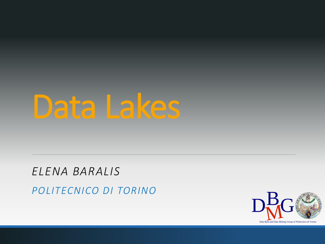

#### *ELENA BARALIS POLITECNICO DI TORINO*

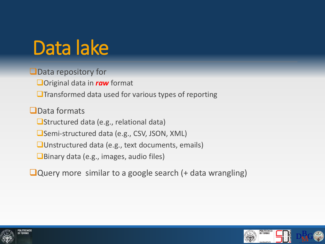#### Data lake

■Data repository for ❑Original data in *raw* format ■Transformed data used for various types of reporting

❑Data formats ❑Structured data (e.g., relational data) ❑Semi-structured data (e.g., CSV, JSON, XML) ❑Unstructured data (e.g., text documents, emails) ❑Binary data (e.g., images, audio files)

❑Query more similar to a google search (+ data wrangling)



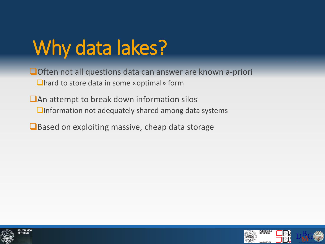## Why data lakes?

❑Often not all questions data can answer are known a-priori ❑hard to store data in some «optimal» form

■An attempt to break down information silos ■Information not adequately shared among data systems

■Based on exploiting massive, cheap data storage



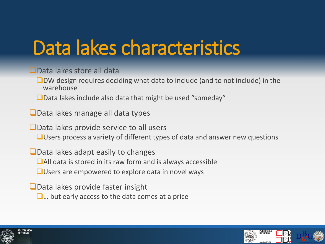#### Data lakes characteristics

#### ❑Data lakes store all data

■DW design requires deciding what data to include (and to not include) in the warehouse

■Data lakes include also data that might be used "someday"

❑Data lakes manage all data types

■Data lakes provide service to all users

❑Users process a variety of different types of data and answer new questions

❑Data lakes adapt easily to changes ■All data is stored in its raw form and is always accessible ■Users are empowered to explore data in novel ways

❑Data lakes provide faster insight

 $\Box$ ... but early access to the data comes at a price



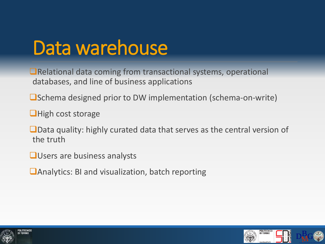#### Data warehouse

■Relational data coming from transactional systems, operational databases, and line of business applications

❑Schema designed prior to DW implementation (schema-on-write)

❑High cost storage

❑Data quality: highly curated data that serves as the central version of the truth

❑Users are business analysts

❑Analytics: BI and visualization, batch reporting



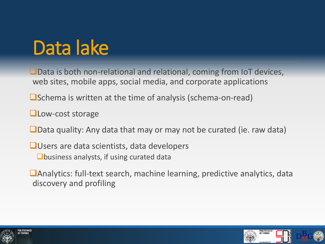#### Data lake

■Data is both non-relational and relational, coming from IoT devices, web sites, mobile apps, social media, and corporate applications

❑Schema is written at the time of analysis (schema-on-read)

❑Low-cost storage

■Data quality: Any data that may or may not be curated (ie. raw data)

❑Users are data scientists, data developers

■business analysts, if using curated data

❑Analytics: full-text search, machine learning, predictive analytics, data discovery and profiling



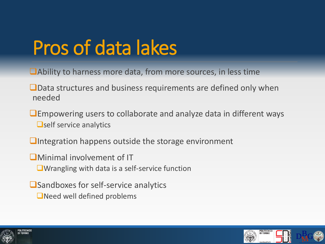## Pros of data lakes

- ❑Ability to harness more data, from more sources, in less time
- ■Data structures and business requirements are defined only when needed
- ❑Empowering users to collaborate and analyze data in different ways ❑self service analytics
- ❑Integration happens outside the storage environment
- ■Minimal involvement of IT
	- ❑Wrangling with data is a self-service function
- ■Sandboxes for self-service analytics
	- ❑Need well defined problems



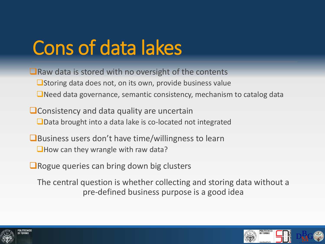# Cons of data lakes

■Raw data is stored with no oversight of the contents ■Storing data does not, on its own, provide business value ❑Need data governance, semantic consistency, mechanism to catalog data

❑Consistency and data quality are uncertain ■Data brought into a data lake is co-located not integrated

■Business users don't have time/willingness to learn  $\Box$  How can they wrangle with raw data?

■Rogue queries can bring down big clusters

The central question is whether collecting and storing data without a pre-defined business purpose is a good idea